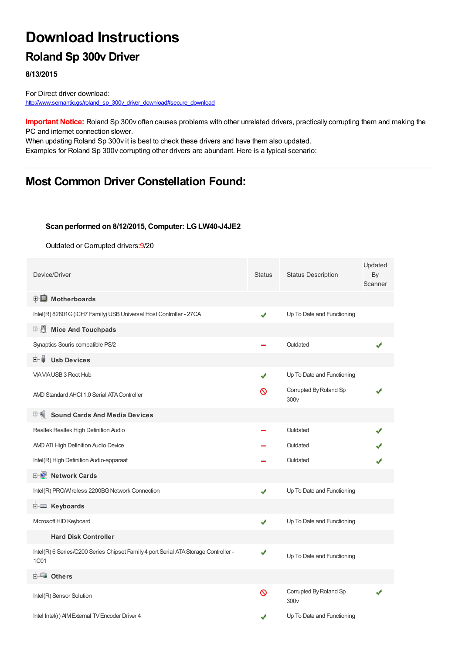# **Download Instructions**

## **Roland Sp 300v Driver**

**8/13/2015**

For Direct driver download: [http://www.semantic.gs/roland\\_sp\\_300v\\_driver\\_download#secure\\_download](http://www.semantic.gs/roland_sp_300v_driver_download#secure_download)

**Important Notice:** Roland Sp 300v often causes problems with other unrelated drivers, practically corrupting them and making the PC and internet connection slower.

When updating Roland Sp 300v it is best to check these drivers and have them also updated. Examples for Roland Sp 300v corrupting other drivers are abundant. Here is a typical scenario:

### **Most Common Driver Constellation Found:**

#### **Scan performed on 8/12/2015, Computer: LGLW40-J4JE2**

Outdated or Corrupted drivers:9/20

| Device/Driver                                                                                      | <b>Status</b> | <b>Status Description</b>                  | Updated<br>By<br>Scanner |
|----------------------------------------------------------------------------------------------------|---------------|--------------------------------------------|--------------------------|
| <b>E</b> Motherboards                                                                              |               |                                            |                          |
| Intel(R) 82801G (ICH7 Family) USB Universal Host Controller - 27CA                                 | ✔             | Up To Date and Functioning                 |                          |
| 中心 Mice And Touchpads                                                                              |               |                                            |                          |
| Synaptics Souris compatible PS/2                                                                   |               | Outdated                                   |                          |
| <b>Usb Devices</b><br>⊞…■                                                                          |               |                                            |                          |
| VIA VIA USB 3 Root Hub                                                                             | ✔             | Up To Date and Functioning                 |                          |
| AMD Standard AHCI 1.0 Serial ATA Controller                                                        | ര             | Corrupted By Roland Sp<br>300 <sub>v</sub> |                          |
| <b>Sound Cards And Media Devices</b>                                                               |               |                                            |                          |
| Realtek Realtek High Definition Audio                                                              |               | Outdated                                   |                          |
| AND ATI High Definition Audio Device                                                               |               | Outdated                                   |                          |
| Intel(R) High Definition Audio-apparaat                                                            |               | Outdated                                   |                          |
| <b>E-2</b> Network Cards                                                                           |               |                                            |                          |
| Intel(R) PRO/Wireless 2200BG Network Connection                                                    | ✔             | Up To Date and Functioning                 |                          |
| E Keyboards                                                                                        |               |                                            |                          |
| Microsoft HID Keyboard                                                                             | ✔             | Up To Date and Functioning                 |                          |
| <b>Hard Disk Controller</b>                                                                        |               |                                            |                          |
| Intel(R) 6 Series/C200 Series Chipset Family 4 port Serial ATA Storage Controller -<br><b>1C01</b> | ✔             | Up To Date and Functioning                 |                          |
| <b>E</b> Others                                                                                    |               |                                            |                          |
| Intel(R) Sensor Solution                                                                           | 0             | Corrupted By Roland Sp<br>300 <sub>v</sub> |                          |
| Intel Intel(r) AIM External TV Encoder Driver 4                                                    |               | Up To Date and Functioning                 |                          |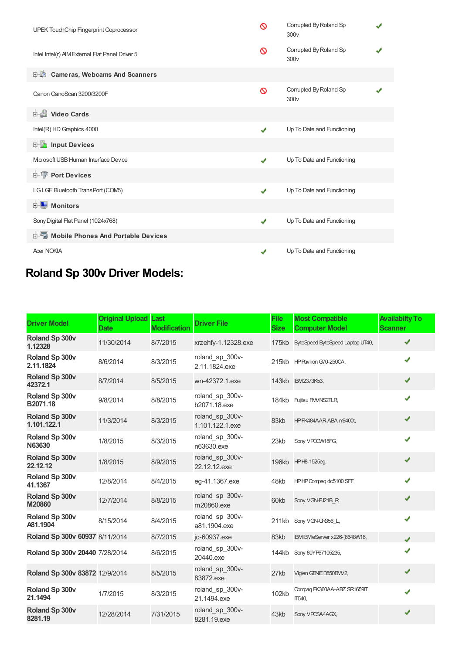| UPEK TouchChip Fingerprint Coprocessor          | ര            | Corrupted By Roland Sp<br>300v             |  |  |  |  |
|-------------------------------------------------|--------------|--------------------------------------------|--|--|--|--|
| Intel Intel(r) AIM External Flat Panel Driver 5 | ∾            | Corrupted By Roland Sp<br>300 <sub>v</sub> |  |  |  |  |
| <b>Cameras, Webcams And Scanners</b><br>由业      |              |                                            |  |  |  |  |
| Canon CanoScan 3200/3200F                       | Ø            | Corrupted By Roland Sp<br>300v             |  |  |  |  |
| Video Cards                                     |              |                                            |  |  |  |  |
| Intel(R) HD Graphics 4000                       | ✔            | Up To Date and Functioning                 |  |  |  |  |
| <b>Devices</b> Input Devices                    |              |                                            |  |  |  |  |
| Microsoft USB Human Interface Device            | ✔            | Up To Date and Functioning                 |  |  |  |  |
| <b>E-TP</b> Port Devices                        |              |                                            |  |  |  |  |
| LGLGE Bluetooth TransPort (COM5)                | $\checkmark$ | Up To Date and Functioning                 |  |  |  |  |
| $\blacksquare$ Monitors<br>中                    |              |                                            |  |  |  |  |
| Sony Digital Flat Panel (1024x768)              | ✔            | Up To Date and Functioning                 |  |  |  |  |
| 电图 Mobile Phones And Portable Devices           |              |                                            |  |  |  |  |
| <b>Acer NOKIA</b>                               | ✔            | Up To Date and Functioning                 |  |  |  |  |

## **Roland Sp 300v Driver Models:**

| <b>Driver Model</b>            | <b>Original Upload Last</b><br><b>Date</b> | <b>Modification</b> | <b>Driver File</b>                 | <b>File</b><br><b>Size</b> | <b>Most Compatible</b><br><b>Computer Model</b> | <b>Availabilty To</b><br><b>Scanner</b> |
|--------------------------------|--------------------------------------------|---------------------|------------------------------------|----------------------------|-------------------------------------------------|-----------------------------------------|
| Roland Sp 300v<br>1.12328      | 11/30/2014                                 | 8/7/2015            | xrzehfy-1.12328.exe                | 175kb                      | ByteSpeed ByteSpeed Laptop UT40,                | ✔                                       |
| Roland Sp 300v<br>2.11.1824    | 8/6/2014                                   | 8/3/2015            | roland sp 300v-<br>2.11.1824.exe   |                            | 215kb HP Pavilion G70-250CA,                    | ✔                                       |
| Roland Sp 300v<br>42372.1      | 8/7/2014                                   | 8/5/2015            | wn-42372.1.exe                     |                            | 143kb IBM2373K53,                               | ✔                                       |
| Roland Sp 300v<br>B2071.18     | 9/8/2014                                   | 8/8/2015            | roland_sp_300v-<br>b2071.18.exe    |                            | 184kb Fujitsu FM/NS2TLR,                        | ✔                                       |
| Roland Sp 300v<br>1.101.122.1  | 11/3/2014                                  | 8/3/2015            | roland sp 300v-<br>1.101.122.1.exe | 83kb                       | HP FK484AAR-ABA m9400t,                         | ✔                                       |
| Roland Sp 300v<br>N63630       | 1/8/2015                                   | 8/3/2015            | roland_sp_300v-<br>n63630.exe      | 23kb                       | Sony VPCCW18FG,                                 | ✔                                       |
| Roland Sp 300v<br>22.12.12     | 1/8/2015                                   | 8/9/2015            | roland sp 300v-<br>22.12.12.exe    |                            | 196kb HPH8-1525eq,                              | ✔                                       |
| Roland Sp 300v<br>41.1367      | 12/8/2014                                  | 8/4/2015            | eg-41.1367.exe                     | 48kb                       | HPHP Compag dc5100 SFF,                         | ✔                                       |
| Roland Sp 300v<br>M20860       | 12/7/2014                                  | 8/8/2015            | roland_sp_300v-<br>m20860.exe      | 60kb                       | Sony VGN-FJ21B R                                | ✔                                       |
| Roland Sp 300v<br>A81.1904     | 8/15/2014                                  | 8/4/2015            | roland sp 300v-<br>a81.1904.exe    | 211kb                      | Sony VGN-CR356 L,                               | ✔                                       |
| Roland Sp 300v 60937 8/11/2014 |                                            | 8/7/2015            | jc-60937.exe                       | 83kb                       | IBM IBM eServer x226-[8648W16,                  | J                                       |
| Roland Sp 300v 20440 7/28/2014 |                                            | 8/6/2015            | roland sp 300v-<br>20440.exe       | 144kb                      | Sony 80YP67105235,                              |                                         |
| Roland Sp 300v 83872 12/9/2014 |                                            | 8/5/2015            | roland sp 300v-<br>83872.exe       | 27kb                       | Viglen GENIE D850EM/2,                          | ✔                                       |
| Roland Sp 300v<br>21.1494      | 1/7/2015                                   | 8/3/2015            | roland sp 300v-<br>21.1494.exe     | 102kb                      | Compag EK360AA-ABZ SR1659IT<br>IT540,           | ✔                                       |
| Roland Sp 300v<br>8281.19      | 12/28/2014                                 | 7/31/2015           | roland_sp_300v-<br>8281.19.exe     | 43kb                       | Sony VPCSA4AGX,                                 |                                         |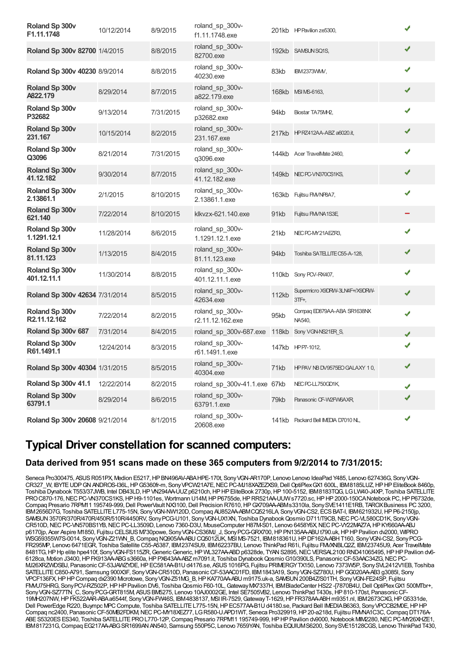| Roland Sp 300v<br>F1.11.1748          | 10/12/2014 | 8/9/2015  | roland_sp_300v-<br>f1.11.1748.exe   |              | 201kb HP Pavilion ze5300.                 |   |
|---------------------------------------|------------|-----------|-------------------------------------|--------------|-------------------------------------------|---|
| Roland Sp 300v 82700 1/4/2015         |            | 8/8/2015  | roland_sp_300v-<br>82700.exe        |              | 192kb SAMSUNSQ1S,                         | ✔ |
| Roland Sp 300v 40230 8/9/2014         |            | 8/8/2015  | roland_sp_300v-<br>40230.exe        | 83kb         | <b>IBM2373WMV,</b>                        | ✔ |
| Roland Sp 300v<br>A822.179            | 8/29/2014  | 8/7/2015  | roland_sp_300v-<br>a822.179.exe     | 168kb        | MSI MS-6163,                              | ✔ |
| Roland Sp 300v<br>P32682              | 9/13/2014  | 7/31/2015 | roland_sp_300v-<br>p32682.exe       | 94kb         | Biostar TA75MH2,                          | ✔ |
| Roland Sp 300v<br>231.167             | 10/15/2014 | 8/2/2015  | roland_sp_300v-<br>231.167.exe      |              | 217kb HPRZ412AA-ABZ a6020.it,             | ✔ |
| Roland Sp 300v<br>Q3096               | 8/21/2014  | 7/31/2015 | roland_sp_300v-<br>q3096.exe        |              | 144kb Acer TravelMate 2460,               | ✔ |
| Roland Sp 300v<br>41.12.182           | 9/30/2014  | 8/7/2015  | roland_sp_300v-<br>41.12.182.exe    |              | 149kb NECPC-VN370CS1KS,                   | ✔ |
| Roland Sp 300v<br>2.13861.1           | 2/1/2015   | 8/10/2015 | roland_sp_300v-<br>2.13861.1.exe    | 163kb        | Fujitsu FMVNP8A7,                         | ✔ |
| Roland Sp 300v<br>621.140             | 7/22/2014  | 8/10/2015 | klkvzx-621.140.exe                  | 91kb         | Fujitsu FM/NA1S3E,                        |   |
| Roland Sp 300v<br>1.1291.12.1         | 11/28/2014 | 8/6/2015  | roland_sp_300v-<br>1.1291.12.1.exe  | 21kb         | NEC PC-MY21AEZR3,                         | ✔ |
| <b>Roland Sp 300v</b><br>81.11.123    | 1/13/2015  | 8/4/2015  | roland_sp_300v-<br>81.11.123.exe    | 94kb         | Toshiba SATELLITE C55-A-128,              | ✔ |
| Roland Sp 300v<br>401.12.11.1         | 11/30/2014 | 8/8/2015  | roland_sp_300v-<br>401.12.11.1.exe  | 110kb        | Sony PCV-RX407,                           | ✔ |
| Roland Sp 300v 42634 7/31/2014        |            | 8/5/2015  | roland_sp_300v-<br>42634.exe        | <b>112kb</b> | Supermicro X9DRW-3LN4F+/X9DRW-<br>$3TF +$ | ✔ |
| Roland Sp 300v<br>R2.11.12.162        | 7/22/2014  | 8/2/2015  | roland_sp_300v-<br>r2.11.12.162.exe | 95kb         | Compaq ED879AA-ABA SR1638NX<br>NA540,     | ✔ |
| Roland Sp 300v 687                    | 7/31/2014  | 8/4/2015  | roland_sp_300v-687.exe              | <b>118kb</b> | Sony VGN-NS21ER_S,                        | J |
| Roland Sp 300v<br>R61.1491.1          | 12/24/2014 | 8/3/2015  | roland sp 300v-<br>r61.1491.1.exe   |              | 147kb HPP7-1012,                          |   |
| <b>Roland Sp 300v 40304 1/31/2015</b> |            | 8/5/2015  | roland_sp_300v-<br>40304.exe        | 71kb         | HPPAV NB DV9575EO GALAXY 10,              | ✔ |
| <b>Roland Sp 300v 41.1</b>            | 12/22/2014 | 8/2/2015  | roland_sp_300v-41.1.exe 67kb        |              | NEC PC-LL750GD1K,                         | ✔ |
| Roland Sp 300v<br>63791.1             | 8/29/2014  | 8/6/2015  | roland_sp_300v-<br>63791.1.exe      | 79kb         | Panasonic CF-W2FW6AXR,                    | ✔ |
| Roland Sp 300v 20608 9/21/2014        |            | 8/1/2015  | roland_sp_300v-<br>20608.exe        |              | 141kb Packard Bell IMEDIA D7010 NL,       | ✔ |

### **Typical Driver constellation for scanned computers:**

### **Data derived from 951 scans made on these 365 computers from 9/2/2014 to 7/31/2015:**

Seneca Pro300475, ASUS R051PX, Medion E5217, HP BN496AV-ABA HPE-170t, Sony VGN-AR170P, Lenovo Lenovo IdeaPad Y485, Lenovo 627436G, Sony VGN-CR327\_W, IBYTEUDPGNANDROS-I36L,HPG5360fr-m, SonyVPCW21A7E,NECPC-MJ18XAZEZXS9,Dell OptiPlexGX1 600L, IBM8185LUZ,HPHPEliteBook 8460p, Toshiba Dynabook T553/37JWB, Intel DB43LD, HP VN294AA-UUZ p6210ch, HP HP EliteBook 2730p, HP 100-5152, IBM8183TQG, LG LW40-J4XP, Toshiba SATELLITE PRO C870-176, NEC PC-VN370CS1KS, HP H9-1101es, Wortmann U14M, HP P6755de, HP RR521AA-UUW s7720.sc, HP HP 2000-150CA Notebook PC, HP P6732de, Compaq Presario 7RPM11 195749-999, Dell PowerVault NX3100, Dell Precision R7610, HP GX709AA-ABMs3310la, Sony SVE1411E1RB, TAROX Business PC 3200, IBM2656D7G, Toshiba SATELLITEL775-15N, SonyVGN-NW120D,Compaq AU852AA-ABMCQ5216LA, SonyVGN-CS2, ECSBAT-I, IBM621932U,HPP6-2150jp, SAMSUN 3570R/370R/470R/450R/510R/4450RV, Sony PCG-U101, Sony VGN-UX1XN, Toshiba Dynabook Qosmio D711/T9CB, NEC PC-VL580CD1K, Sony VGN-CR510D,NECPC-VN570BS1YB,NECPC-LL3509D, Lenovo 7360-D3U, MouseComputer H87M-S01, Lenovo 6458Y6X,NECPC-VY22MAZ7A,HPKY660AA-ABJ p6170jp, Acer Aspire M1850, Fujitsu CELSIUSM730powe, SonyVGN-CS36MJ\_J, SonyPCG-GRX700,HPPN135AA-ABUt790.uk,HPHPPavilion dv2000, WIPRO WSG59355W7S-0014, SonyVGN-Z21WN\_B,Compaq NQ905AA-ABUCQ5012UK, MSI MS-7521, IBM818361U,HPDF162A-ABHT160, SonyVGN-CS2, SonyPCG-FR295MP, Lenovo 6471EGR, Toshiba Satellite C55-A5387, IBM2374SU9, IBM62237BU, Lenovo ThinkPad R61i, Fujitsu FMVXNBLQ2Z, IBM23745U9, Acer TravelMate 8481TG, HP Hp elite hpe410f, Sony VGN-FS115ZR, Generic Generic, HP WL327AA-ABD p6328de, TYAN S2895, NEC VERSAL2100 RND41065495, HP HP Pavilion dv6-6128ca, Motion J3400,HPFK913AA-ABGs3660a,HPPX643AA-ABZm7091.it, Toshiba DynabookQosmioG10/390LS, PanasonicCF-53AAC34ZG,NECPC-MJ26XRZWDSBJ, PanasonicCF-53JAWZYDE,HPEC581AA-B1Ud4176.se, ASUS1016PG, Fujitsu PRIMERGYTX150, Lenovo 7373W5P, SonySVL2412V1EB, Toshiba SATELLITEC850-A791, Samsung 900X3F, SonyVGN-CR510D, PanasonicCF-53AAC01FD, IBM1843A19, SonyVGN-SZ780U,HPGG020AA-AB3 g3085l, Sony VPCF136FX, HP HP Compaq dx2390 Microtowe, Sony VGN-Z51MG\_B, HP KA770AA-ABU m9175.uk-a, SAVSUN 200B4Z/S01TH, Sony VGN-FE24SP, Fujitsu FMVU75HRG, SonyPCV-RZ502P,HPHPPavilion DV6, ToshibaQosmio F60-10L,GatewayMX7337H, IBMBladeCenter HS22 -[7870B4U,Dell OptiPlexGX1 500MTbr+, Sony VGN-SZ77TN\_C, Sony PCG-GRT815M, ASUS BM5275, Lenovo 10AJ0002GE, Intel SE7505VB2, Lenovo ThinkPad T430s, HP810-170st, Panasonic CF-19MH207NW,HPFK522AAR-ABAa6544f, SonyVGN-FW46S, IBM4838137, MSI IR-7529,GatewayT-1629,HPFR378AA-ABH m9351.nl, IBM2673CXG,HPG5331de, Dell PowerEdge R220, Buympc MPC Compute, Toshiba SATELLITE L775-15N, HP EC577AA-B1U d4180.se, Packard Bell IMEDIAB6363, Sony VPCCB2M0E, HP HP Compaq nc2400, Panasonic CF-50MB2FDKM, NEC PC-MY18XEZ77, LGR580-U.APD1WT, Seneca Pro329919, HP 20-a218d, Fujitsu FMMA1C3C, Compaq DT176A-ABE S5320ES ES340, Toshiba SATELLITE PRO L770-12P, Compaq Presario 7RPM11 195749-999, HP HP Pavilion dv9000, Notebook MIM2280, NEC PC-MY26XHZE1, IBM817231G,Compaq EG217AA-ABGSR1699ANAN540, Samsung 550P5C, Lenovo 7659YAN, Toshiba EQUIUMS6200, SonySVE15128CGS, Lenovo ThinkPad T430,